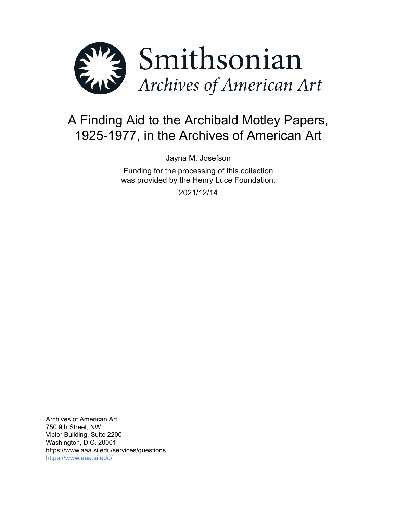

# A Finding Aid to the Archibald Motley Papers, 1925-1977, in the Archives of American Art

Jayna M. Josefson

Funding for the processing of this collection was provided by the Henry Luce Foundation.

2021/12/14

Archives of American Art 750 9th Street, NW Victor Building, Suite 2200 Washington, D.C. 20001 https://www.aaa.si.edu/services/questions <https://www.aaa.si.edu/>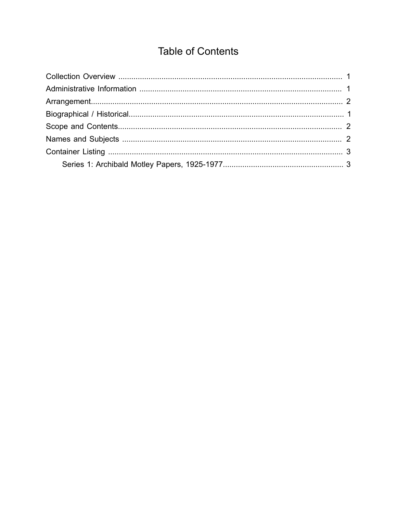## **Table of Contents**

<span id="page-1-0"></span>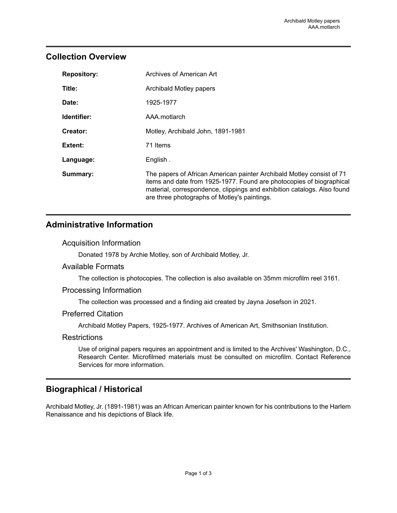## <span id="page-2-0"></span>**Collection Overview**

| <b>Repository:</b> | Archives of American Art                                                                                                                                                                                                                                                 |
|--------------------|--------------------------------------------------------------------------------------------------------------------------------------------------------------------------------------------------------------------------------------------------------------------------|
| Title:             | Archibald Motley papers                                                                                                                                                                                                                                                  |
| Date:              | 1925-1977                                                                                                                                                                                                                                                                |
| Identifier:        | AAA.motlarch                                                                                                                                                                                                                                                             |
| Creator:           | Motley, Archibald John, 1891-1981                                                                                                                                                                                                                                        |
| Extent:            | 71 Items                                                                                                                                                                                                                                                                 |
| Language:          | English.                                                                                                                                                                                                                                                                 |
| Summary:           | The papers of African American painter Archibald Motley consist of 71<br>items and date from 1925-1977. Found are photocopies of biographical<br>material, correspondence, clippings and exhibition catalogs. Also found<br>are three photographs of Motley's paintings. |

## <span id="page-2-1"></span>**Administrative Information**

#### Acquisition Information

Donated 1978 by Archie Motley, son of Archibald Motley, Jr.

#### Available Formats

The collection is photocopies. The collection is also available on 35mm microfilm reel 3161.

#### Processing Information

The collection was processed and a finding aid created by Jayna Josefson in 2021.

#### Preferred Citation

Archibald Motley Papers, 1925-1977. Archives of American Art, Smithsonian Institution.

#### **Restrictions**

Use of original papers requires an appointment and is limited to the Archives' Washington, D.C., Research Center. Microfilmed materials must be consulted on microfilm. Contact Reference Services for more information.

## <span id="page-2-2"></span>**Biographical / Historical**

Archibald Motley, Jr. (1891-1981) was an African American painter known for his contributions to the Harlem Renaissance and his depictions of Black life.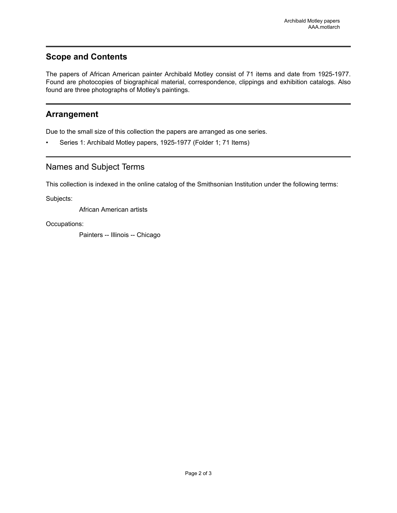## <span id="page-3-1"></span>**Scope and Contents**

The papers of African American painter Archibald Motley consist of 71 items and date from 1925-1977. Found are photocopies of biographical material, correspondence, clippings and exhibition catalogs. Also found are three photographs of Motley's paintings.

## <span id="page-3-0"></span>**Arrangement**

Due to the small size of this collection the papers are arranged as one series.

Series 1: Archibald Motley papers, 1925-1977 (Folder 1; 71 Items)

## <span id="page-3-2"></span>Names and Subject Terms

This collection is indexed in the online catalog of the Smithsonian Institution under the following terms:

Subjects:

African American artists

Occupations:

Painters -- Illinois -- Chicago